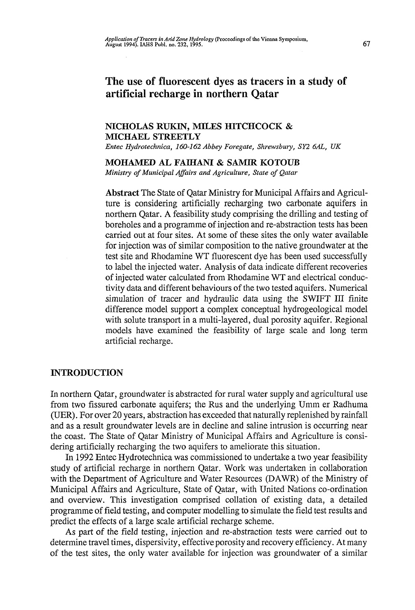# The use of fluorescent dyes as tracers in a study of artificial recharge in northern Qatar

# **NICHOLAS RUKW, MILES HITCHCOCK & MICHAEL STREETLY**

*Entec Hydrotechnica, 160-162 Abbey Foregate, Shrewsbury, SY2 6AL, UK* 

# **MOHAMED AL FAIHANI & SAMIR KOTOUB**

*Ministry of Municipal Affairs and Agriculture, State of Qatar* 

**Abstract** The State of Qatar Ministry for Municipal Affairs and Agriculture is considering artificially recharging two carbonate aquifers in northern Qatar. A feasibility study comprising the drilling and testing of boreholes and a programme of injection and re-abstraction tests has been carried out at four sites. At some of these sites the only water available for injection was of similar composition to the native groundwater at the test site and Rhodamine WT fluorescent dye has been used successfully to label the injected water. Analysis of data indicate different recoveries of injected water calculated from Rhodamine WT and electrical conductivity data and different behaviours of the two tested aquifers. Numerical simulation of tracer and hydraulic data using the SWIFT III finite difference model support a complex conceptual hydrogeological model with solute transport in a multi-layered, dual porosity aquifer. Regional models have examined the feasibility of large scale and long term artificial recharge.

# **INTRODUCTION**

In northern Qatar, groundwater is abstracted for rural water supply and agricultural use from two fissured carbonate aquifers; the Rus and the underlying Umm er Radhuma (UER). For over 20 years, abstraction has exceeded that naturally replenished by rainfall and as a result groundwater levels are in decline and saline intrusion is occurring near the coast. The State of Qatar Ministry of Municipal Affairs and Agriculture is considering artificially recharging the two aquifers to ameliorate this situation.

In 1992 Entec Hydrotechnica was commissioned to undertake a two year feasibility study of artificial recharge in northern Qatar. Work was undertaken in collaboration with the Department of Agriculture and Water Resources (DAWR) of the Ministry of Municipal Affairs and Agriculture, State of Qatar, with United Nations co-ordination and overview. This investigation comprised collation of existing data, a detailed programme of field testing, and computer modelling to simulate the field test results and predict the effects of a large scale artificial recharge scheme.

As part of the field testing, injection and re-abstraction tests were carried out to determine travel times, dispersivity, effective porosity and recovery efficiency. At many of the test sites, the only water available for injection was groundwater of a similar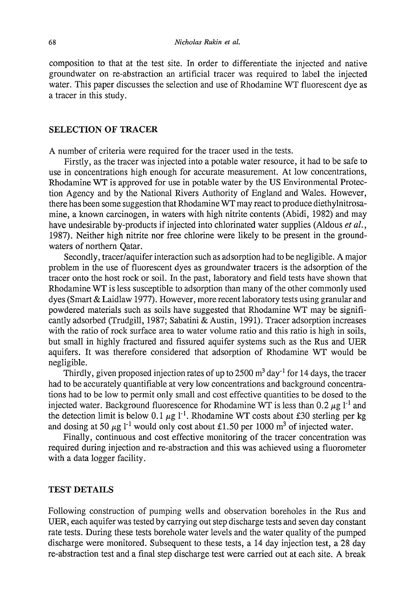composition to that at the test site. In order to differentiate the injected and native groundwater on re-abstraction an artificial tracer was required to label the injected water. This paper discusses the selection and use of Rhodamine WT fluorescent dye as a tracer in this study.

# **SELECTION OF TRACER**

A number of criteria were required for the tracer used in the tests.

Firstly, as the tracer was injected into a potable water resource, it had to be safe to use in concentrations high enough for accurate measurement. At low concentrations, Rhodamine WT is approved for use in potable water by the US Environmental Protection Agency and by the National Rivers Authority of England and Wales. However, there has been some suggestion that Rhodamine WT may react to produce diethylnitrosamine, a known carcinogen, in waters with high nitrite contents (Abidi, 1982) and may have undesirable by-products if injected into chlorinated water supplies (Aldous *et al.,*  1987). Neither high nitrite nor free chlorine were likely to be present in the groundwaters of northern Qatar.

Secondly, tracer/aquifer interaction such as adsorption had to be negligible. A major problem in the use of fluorescent dyes as groundwater tracers is the adsorption of the tracer onto the host rock or soil. In the past, laboratory and field tests have shown that Rhodamine WT is less susceptible to adsorption than many of the other commonly used dyes (Smart & Laidlaw 1977). However, more recent laboratory tests using granular and powdered materials such as soils have suggested that Rhodamine WT may be significantly adsorbed (Trudgill, 1987; Sabatini & Austin, 1991). Tracer adsorption increases with the ratio of rock surface area to water volume ratio and this ratio is high in soils, but small in highly fractured and fissured aquifer systems such as the Rus and UER aquifers. It was therefore considered that adsorption of Rhodamine WT would be negligible.

Thirdly, given proposed injection rates of up to 2500  $\mathrm{m}^3$  day<sup>-1</sup> for 14 days, the tracer had to be accurately quantifiable at very low concentrations and background concentrations had to be low to permit only small and cost effective quantities to be dosed to the injected water. Background fluorescence for Rhodamine WT is less than  $0.2 \mu g l^{-1}$  and the detection limit is below 0.1  $\mu$ g l<sup>-1</sup>. Rhodamine WT costs about £30 sterling per kg and dosing at 50  $\mu$ g l<sup>-1</sup> would only cost about £1.50 per 1000 m<sup>3</sup> of injected water.

Finally, continuous and cost effective monitoring of the tracer concentration was required during injection and re-abstraction and this was achieved using a fluorometer with a data logger facility.

# **TEST DETAILS**

Following construction of pumping wells and observation boreholes in the Rus and UER, each aquifer was tested by carrying out step discharge tests and seven day constant rate tests. During these tests borehole water levels and the water quality of the pumped discharge were monitored. Subsequent to these tests, a 14 day injection test, a 28 day re-abstraction test and a final step discharge test were carried out at each site. A break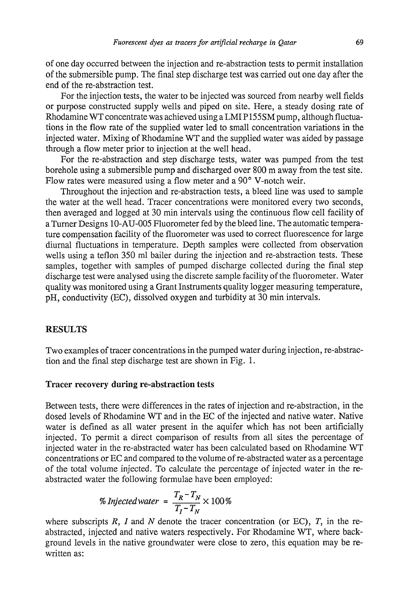of one day occurred between the injection and re-abstraction tests to permit installation of the submersible pump. The final step discharge test was carried out one day after the end of the re-abstraction test.

For the injection tests, the water to be injected was sourced from nearby well fields or purpose constructed supply wells and piped on site. Here, a steady dosing rate of Rhodamine WT concentrate was achieved using a LMI P155SM pump, although fluctuations in the flow rate of the supplied water led to small concentration variations in the injected water. Mixing of Rhodamine WT and the supplied water was aided by passage through a flow meter prior to injection at the well head.

For the re-abstraction and step discharge tests, water was pumped from the test borehole using a submersible pump and discharged over 800 m away from the test site. Flow rates were measured using a flow meter and a 90° V-notch weir.

Throughout the injection and re-abstraction tests, a bleed line was used to sample the water at the well head. Tracer concentrations were monitored every two seconds, then averaged and logged at 30 min intervals using the continuous flow cell facility of a Turner Designs 10-AU-005 Fluorometer fed by the bleed line. The automatic temperature compensation facility of the fluorometer was used to correct fluorescence for large diurnal fluctuations in temperature. Depth samples were collected from observation wells using a teflon 350 ml bailer during the injection and re-abstraction tests. These samples, together with samples of pumped discharge collected during the final step discharge test were analysed using the discrete sample facility of the fluorometer. Water quality was monitored using a Grant Instruments quality logger measuring temperature, pH, conductivity (EC), dissolved oxygen and turbidity at 30 min intervals.

### RESULTS

Two examples of tracer concentrations in the pumped water during injection, re-abstraction and the final step discharge test are shown in Fig. 1.

#### **Tracer recovery during re-abstraction tests**

Between tests, there were differences in the rates of injection and re-abstraction, in the dosed levels of Rhodamine WT and in the EC of the injected and native water. Native water is defined as all water present in the aquifer which has not been artificially injected. To permit a direct comparison of results from all sites the percentage of injected water in the re-abstracted water has been calculated based on Rhodamine WT concentrations or EC and compared to the volume of re-abstracted water as a percentage of the total volume injected. To calculate the percentage of injected water in the reabstracted water the following formulae have been employed:

% injected water = 
$$
\frac{T_R - T_N}{T_I - T_N} \times 100\%
$$

*T T N*<br>*h*e the abstracted, injected and native waters respectively. For Rhodamine WT, where background levels in the native groundwater were close to zero, this equation may be rewritten as: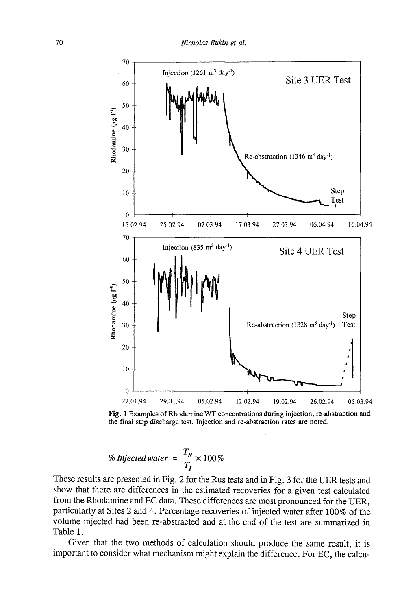

Fig. 1 Examples of Rhodamine WT concentrations during injection, re-abstraction and the final step discharge test. Injection and re-abstraction rates are noted.

% injected water = 
$$
\frac{T_R}{T_I} \times 100\%
$$

These results are presented in Fig. 2 for the Rus tests and in Fig. 3 for the UER tests and show that there are differences in the estimated recoveries for a given test calculated from the Rhodamine and EC data. These differences are most pronounced for the UER, particularly at Sites 2 and 4. Percentage recoveries of injected water after 100% of the volume injected had been re-abstracted and at the end of the test are summarized in Table 1.

Given that the two methods of calculation should produce the same result, it is important to consider what mechanism might explain the difference. For EC, the calcu-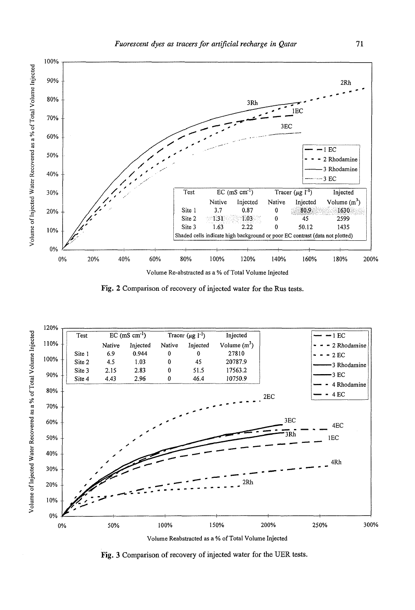

**Fig.** 2 Comparison of recovery of injected water for the Rus tests.



Volume Reabstracted as a % of Total Volume Injected

**Fig.** 3 Comparison of recovery of injected water for the UER tests.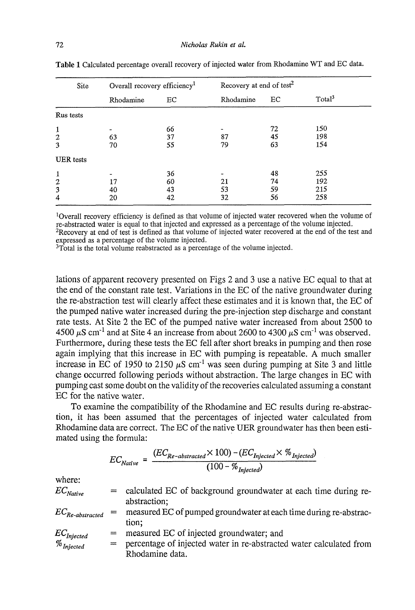| Site                                       | Overall recovery efficiency <sup>1</sup> |                      | Recovery at end of test <sup>2</sup> |                      |                          |
|--------------------------------------------|------------------------------------------|----------------------|--------------------------------------|----------------------|--------------------------|
|                                            | Rhodamine                                | EC.                  | Rhodamine                            | EC                   | Total <sup>3</sup>       |
| Rus tests                                  |                                          |                      |                                      |                      |                          |
| $\mathbf{1}$<br>$\boldsymbol{2}$<br>3      | 63<br>70                                 | 66<br>37<br>55       | 87<br>79                             | 72<br>45<br>63       | 150<br>198<br>154        |
| <b>UER</b> tests                           |                                          |                      |                                      |                      |                          |
| $\mathbf{1}$<br>$\boldsymbol{2}$<br>3<br>4 | 17<br>40<br>20                           | 36<br>60<br>43<br>42 | 21<br>53<br>32                       | 48<br>74<br>59<br>56 | 255<br>192<br>215<br>258 |

**Table 1** Calculated percentage overall recovery of injected water from Rhodamine WT and EC data.

<sup>1</sup>Overall recovery efficiency is defined as that volume of injected water recovered when the volume of re-abstracted water is equal to that injected and expressed as a percentage of the volume injected. <sup>2</sup>Recovery at end of test is defined as that volume of injected water recovered at the end of the test and

expressed as a percentage of the volume injected. <sup>3</sup>Total is the total volume reabstracted as a percentage of the volume injected.

lations of apparent recovery presented on Figs 2 and 3 use a native EC equal to that at the end of the constant rate test. Variations in the EC of the native groundwater during the re-abstraction test will clearly affect these estimates and it is known that, the EC of the pumped native water increased during the pre-injection step discharge and constant rate tests. At Site 2 the EC of the pumped native water increased from about 2500 to 4500  $\mu$ S cm<sup>-1</sup> and at Site 4 an increase from about 2600 to 4300  $\mu$ S cm<sup>-1</sup> was observed. Furthermore, during these tests the EC fell after short breaks in pumping and then rose again implying that this increase in EC with pumping is repeatable. A much smaller increase in EC of 1950 to 2150  $\mu$ S cm<sup>-1</sup> was seen during pumping at Site 3 and little change occurred following periods without abstraction. The large changes in EC with pumping cast some doubt on the validity of the recoveries calculated assuming a constant EC for the native water.

To examine the compatibility of the Rhodamine and EC results during re-abstraction, it has been assumed that the percentages of injected water calculated from Rhodamine data are correct. The EC of the native UER groundwater has then been estimated using the formula:

$$
EC_{Naitive} = \frac{(EC_{Re-abstracted} \times 100) - (EC_{Injected} \times \%_{Injected})}{(100 - \%_{Injected})}
$$

where:

| $EC_{Native}$                         | $=$ | calculated EC of background groundwater at each time during re-     |
|---------------------------------------|-----|---------------------------------------------------------------------|
|                                       |     | abstraction;                                                        |
| $EC_{Re-abstracted}$                  | $=$ | measured EC of pumped groundwater at each time during re-abstrac-   |
|                                       |     | tion:                                                               |
|                                       | $=$ | measured EC of injected groundwater; and                            |
| $\frac{EC_{Injected}}{\%_{Injected}}$ | $=$ | percentage of injected water in re-abstracted water calculated from |
|                                       |     | Rhodamine data.                                                     |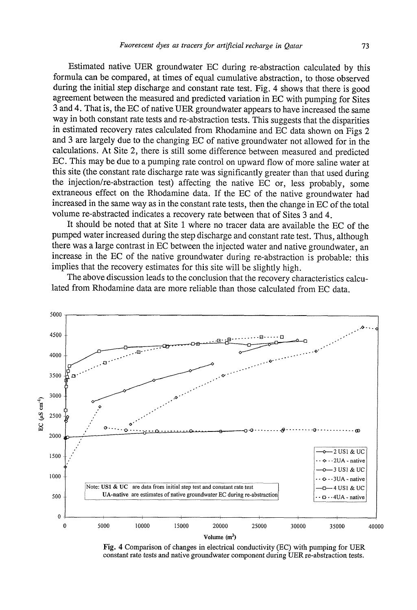Estimated native UER groundwater EC during re-abstraction calculated by this formula can be compared, at times of equal cumulative abstraction, to those observed during the initial step discharge and constant rate test. Fig. 4 shows that there is good agreement between the measured and predicted variation in EC with pumping for Sites 3 and 4. That is, the EC of native UER groundwater appears to have increased the same way in both constant rate tests and re-abstraction tests. This suggests that the disparities in estimated recovery rates calculated from Rhodamine and EC data shown on Figs 2 and 3 are largely due to the changing EC of native groundwater not allowed for in the calculations. At Site 2, there is still some difference between measured and predicted EC. This may be due to a pumping rate control on upward flow of more saline water at this site (the constant rate discharge rate was significantly greater than that used during the injection/re-abstraction test) affecting the native EC or, less probably, some extraneous effect on the Rhodamine data. If the EC of the native groundwater had increased in the same way as in the constant rate tests, then the change in EC of the total volume re-abstracted indicates a recovery rate between that of Sites 3 and 4.

It should be noted that at Site 1 where no tracer data are available the EC of the pumped water increased during the step discharge and constant rate test. Thus, although there was a large contrast in EC between the injected water and native groundwater, an increase in the EC of the native groundwater during re-abstraction is probable: this implies that the recovery estimates for this site will be slightly high.

The above discussion leads to the conclusion that the recovery characteristics calculated from Rhodamine data are more reliable than those calculated from EC data.



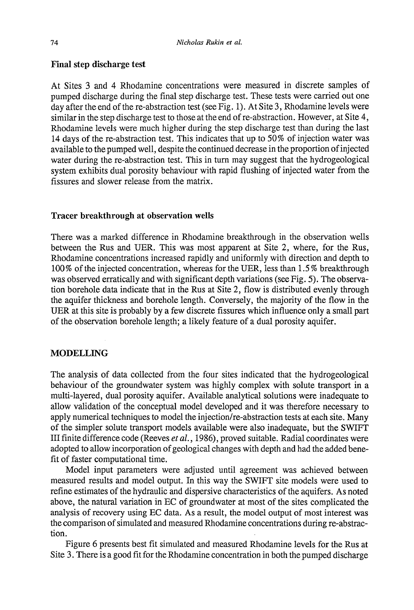# **Final step discharge test**

At Sites 3 and 4 Rhodamine concentrations were measured in discrete samples of pumped discharge during the final step discharge test. These tests were carried out one day after the end of the re-abstraction test (see Fig. 1). At Site 3, Rhodamine levels were similar in the step discharge test to those at the end of re-abstraction. However, at Site 4, Rhodamine levels were much higher during the step discharge test than during the last 14 days of the re-abstraction test. This indicates that up to 50% of injection water was available to the pumped well, despite the continued decrease in the proportion of injected water during the re-abstraction test. This in turn may suggest that the hydrogeological system exhibits dual porosity behaviour with rapid flushing of injected water from the fissures and slower release from the matrix.

#### **Tracer breakthrough at observation wells**

There was a marked difference in Rhodamine breakthrough in the observation wells between the Rus and UER. This was most apparent at Site 2, where, for the Rus, Rhodamine concentrations increased rapidly and uniformly with direction and depth to 100 % of the injected concentration, whereas for the UER, less than 1.5% breakthrough was observed erratically and with significant depth variations (see Fig. 5). The observation borehole data indicate that in the Rus at Site 2, flow is distributed evenly through the aquifer thickness and borehole length. Conversely, the majority of the flow in the UER at this site is probably by a few discrete fissures which influence only a small part of the observation borehole length; a likely feature of a dual porosity aquifer.

# **MODELLING**

The analysis of data collected from the four sites indicated that the hydrogeological behaviour of the groundwater system was highly complex with solute transport in a multi-layered, dual porosity aquifer. Available analytical solutions were inadequate to allow validation of the conceptual model developed and it was therefore necessary to apply numerical techniques to model the injection/re-abstraction tests at each site. Many of the simpler solute transport models available were also inadequate, but the SWIFT III finite difference code (Reeves *et al.*, 1986), proved suitable. Radial coordinates were adopted to allow incorporation of geological changes with depth and had the added benefit of faster computational time.

Model input parameters were adjusted until agreement was achieved between measured results and model output. In this way the SWIFT site models were used to refine estimates of the hydraulic and dispersive characteristics of the aquifers. As noted above, the natural variation in EC of groundwater at most of the sites complicated the analysis of recovery using EC data. As a result, the model output of most interest was the comparison of simulated and measured Rhodamine concentrations during re-abstraction.

Figure 6 presents best fit simulated and measured Rhodamine levels for the Rus at Site 3. There is a good fit for the Rhodamine concentration in both the pumped discharge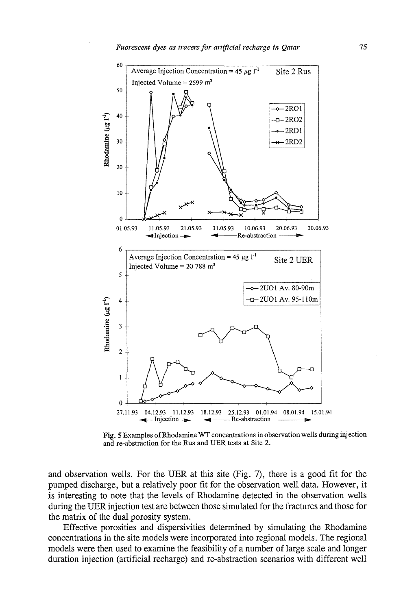

**Fig.** 5 Examples of Rhodamine WT concentrations in observation wells during injection and re-abstraction for the Rus and UER tests at Site 2.

and observation wells. For the UER at this site (Fig. 7), there is a good fit for the pumped discharge, but a relatively poor fit for the observation well data. However, it is interesting to note that the levels of Rhodamine detected in the observation wells during the UER injection test are between those simulated for the fractures and those for the matrix of the dual porosity system.

Effective porosities and dispersivities determined by simulating the Rhodamine concentrations in the site models were incorporated into regional models. The regional models were then used to examine the feasibility of a number of large scale and longer duration injection (artificial recharge) and re-abstraction scenarios with different well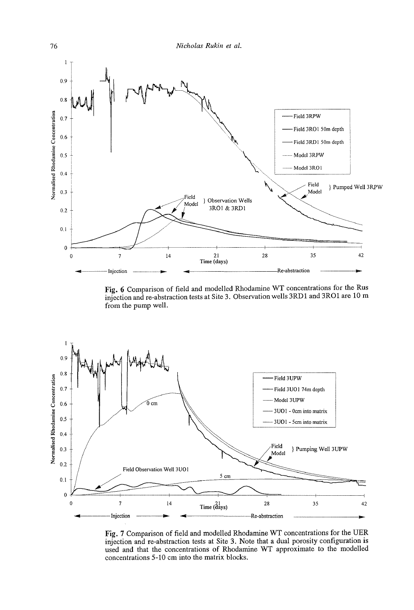

Fig. 6 Comparison of field and modelled Rhodamine WT concentrations for the Rus injection and re-abstraction tests at Site 3. Observation wells 3RD1 and 3R01 are 10 m from the pump well.



Fig. 7 Comparison of field and modelled Rhodamine WT concentrations for the UER injection and re-abstraction tests at Site 3. Note that a dual porosity configuration is used and that the concentrations of Rhodamine WT approximate to the modelled concentrations 5-10 cm into the matrix blocks.

76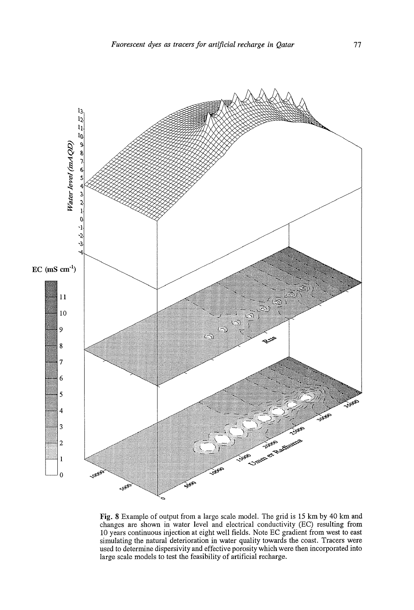

Fig. 8 Example of output from a large scale model. The grid is 15 km by 40 km and changes are shown in water level and electrical conductivity (EC) resulting from 10 years continuous injection at eight well fields. Note EC gradient from west to east simulating the natural deterioration in water quality towards the coast. Tracers were used to determine dispersivity and effective porosity which were then incorporated into large scale models to test the feasibility of artificial recharge.